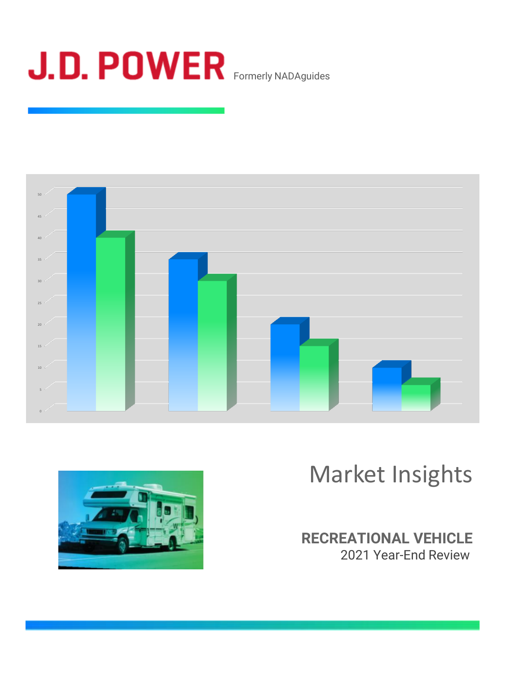





# Market Insights

### **RECREATIONAL VEHICLE** 2021 Year-End Review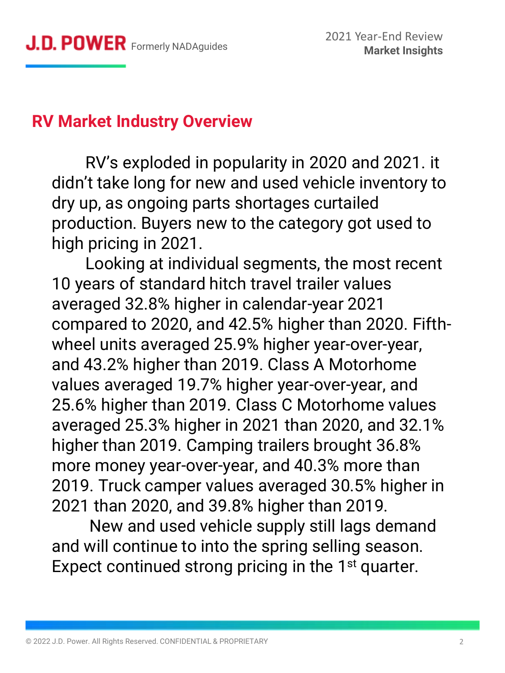# **RV Market Industry Overview**

RV's exploded in popularity in 2020 and 2021. it didn't take long for new and used vehicle inventory to dry up, as ongoing parts shortages curtailed production. Buyers new to the category got used to high pricing in 2021.

Looking at individual segments, the most recent 10 years of standard hitch travel trailer values averaged 32.8% higher in calendar-year 2021 compared to 2020, and 42.5% higher than 2020. Fifthwheel units averaged 25.9% higher year-over-year, and 43.2% higher than 2019. Class A Motorhome values averaged 19.7% higher year-over-year, and 25.6% higher than 2019. Class C Motorhome values averaged 25.3% higher in 2021 than 2020, and 32.1% higher than 2019. Camping trailers brought 36.8% more money year-over-year, and 40.3% more than 2019. Truck camper values averaged 30.5% higher in 2021 than 2020, and 39.8% higher than 2019.

New and used vehicle supply still lags demand and will continue to into the spring selling season. Expect continued strong pricing in the  $1<sup>st</sup>$  quarter.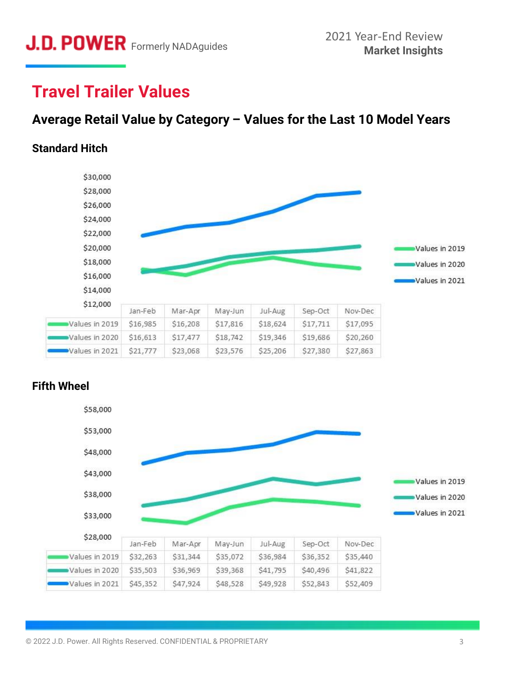# **Travel Trailer Values**

### **Average Retail Value by Category – Values for the Last 10 Model Years**

#### **Standard Hitch**





#### **Fifth Wheel**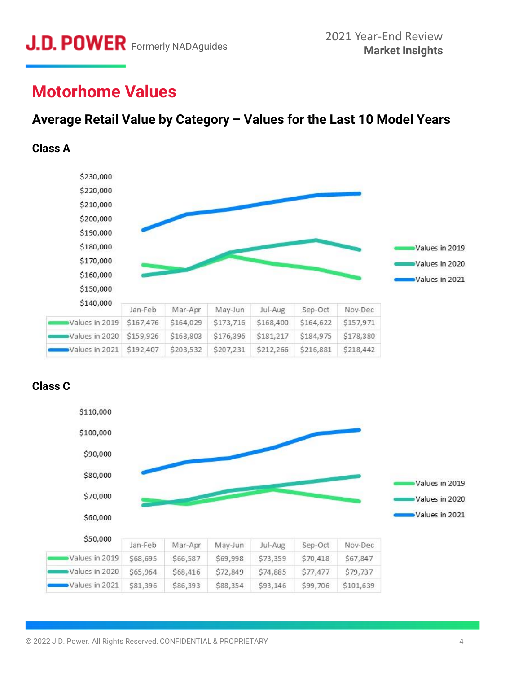## **Motorhome Values**

### **Average Retail Value by Category – Values for the Last 10 Model Years**

#### **Class A**



#### **Class C**

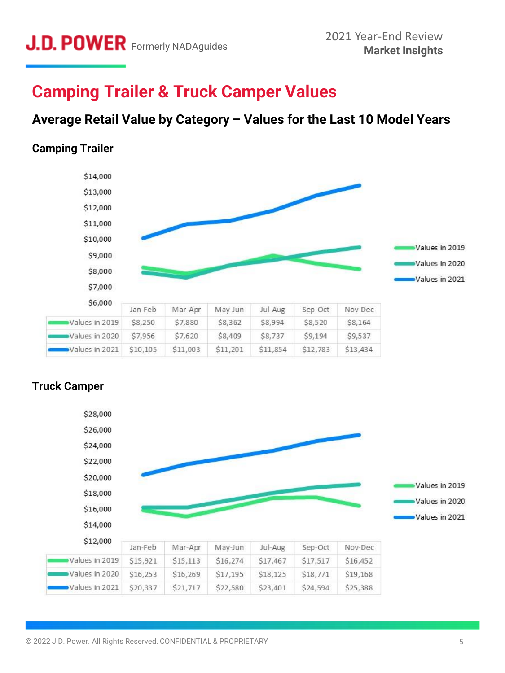# **Camping Trailer & Truck Camper Values**

### **Average Retail Value by Category – Values for the Last 10 Model Years**

#### **Camping Trailer**





#### **Truck Camper**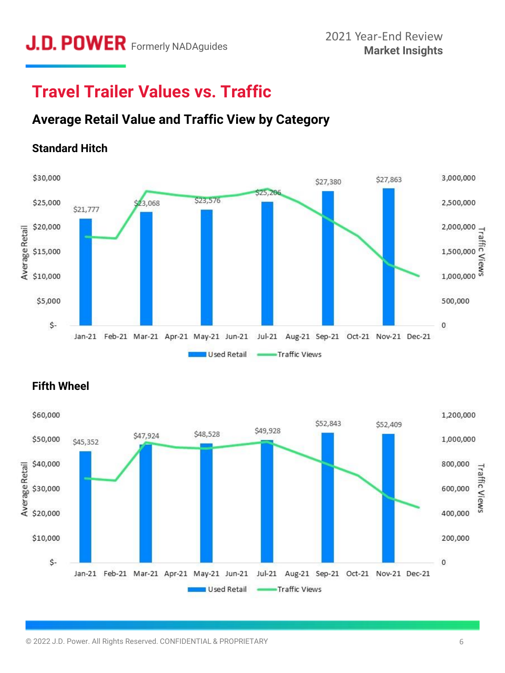# **Travel Trailer Values vs. Traffic**

### **Average Retail Value and Traffic View by Category**

### **Standard Hitch**





#### **Fifth Wheel**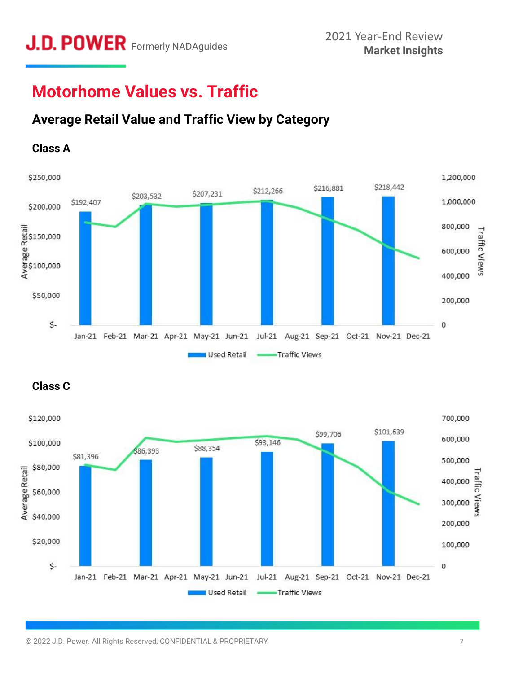# **Motorhome Values vs. Traffic**

### **Average Retail Value and Traffic View by Category**

#### **Class A**



#### **Class C**

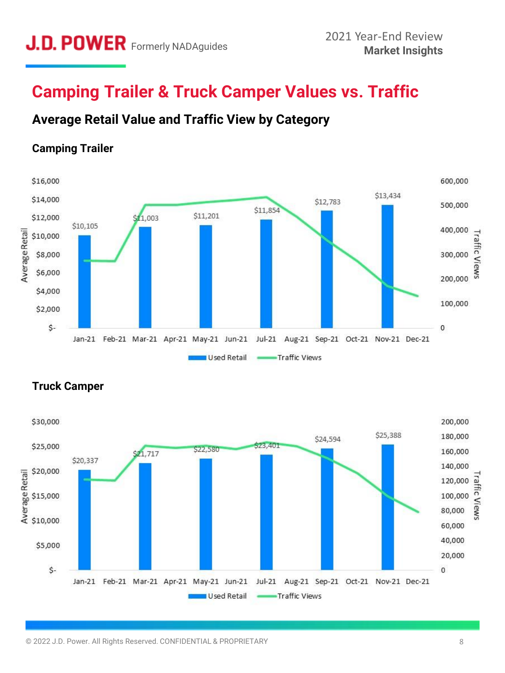# **Camping Trailer & Truck Camper Values vs. Traffic**

### **Average Retail Value and Traffic View by Category**

#### **Camping Trailer**





#### **Truck Camper**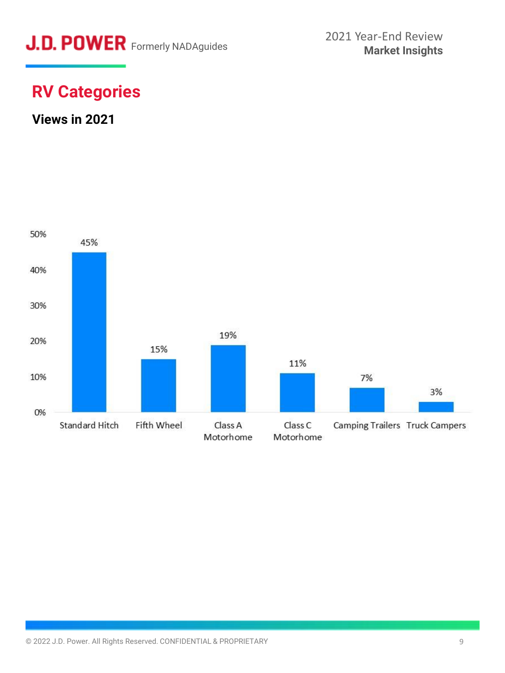

# **RV Categories**

### **Views in 2021**

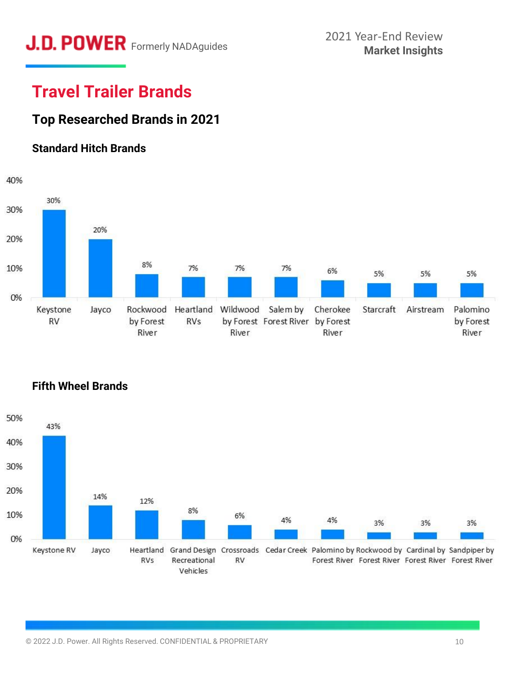# **J.D. POWER** Formerly NADAguides 2021 Year-End Review<br>Market Insights

# **Travel Trailer Brands**

### **Top Researched Brands in 2021**

#### **Standard Hitch Brands**



**Fifth Wheel Brands**

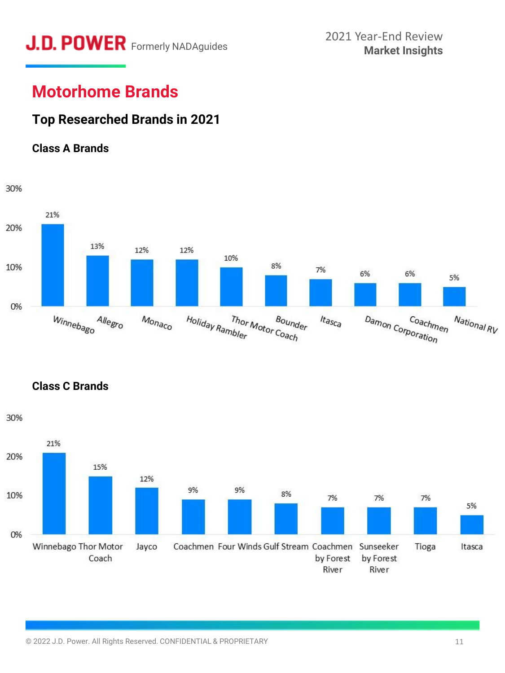# **J.D. POWER** Formerly NADAguides 2021 Year-End Review<br>Market Insights

# **Motorhome Brands**

### **Top Researched Brands in 2021**

#### **Class A Brands**



**Class C Brands**

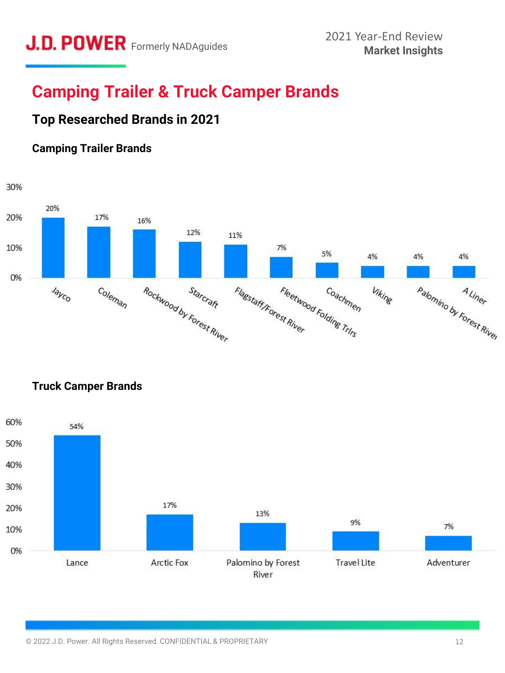# **Camping Trailer & Truck Camper Brands**

### **Top Researched Brands in 2021**

#### **Camping Trailer Brands**





**Truck Camper Brands**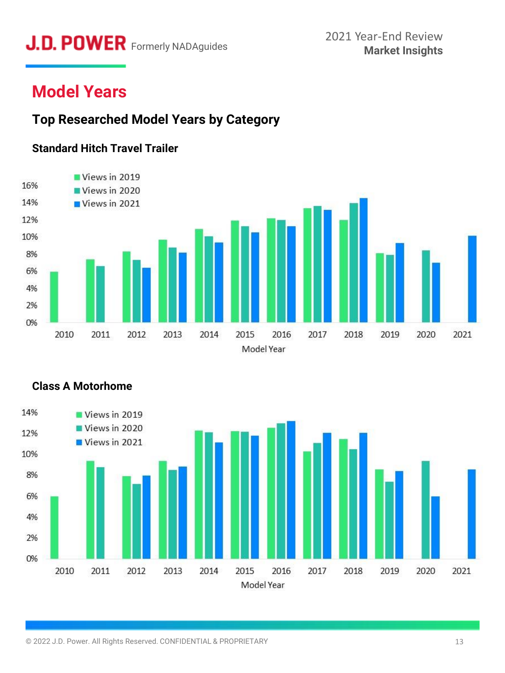# **Market Insights** Formerly NADAguides

# **Model Years**

### **Top Researched Model Years by Category**

#### **Standard Hitch Travel Trailer**





#### **Class A Motorhome**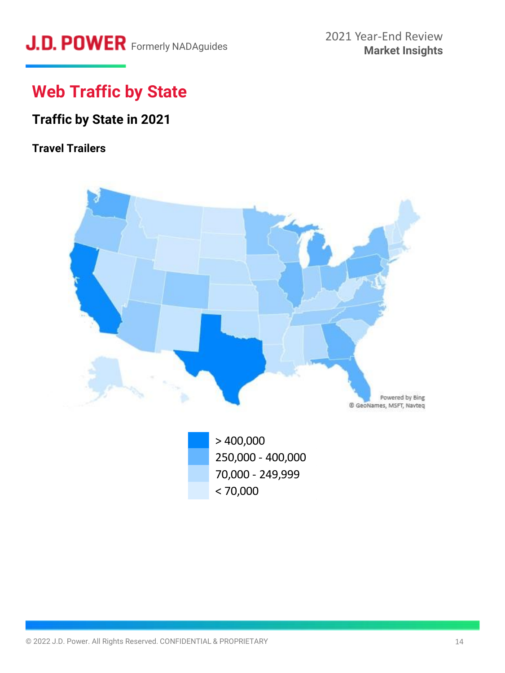# J.D. POWER Formerly NADAguides

# **Web Traffic by State**

## **Traffic by State in 2021**

### **Travel Trailers**



 $> 400,000$ 250,000 - 400,000 70,000 - 249,999  $< 70,000$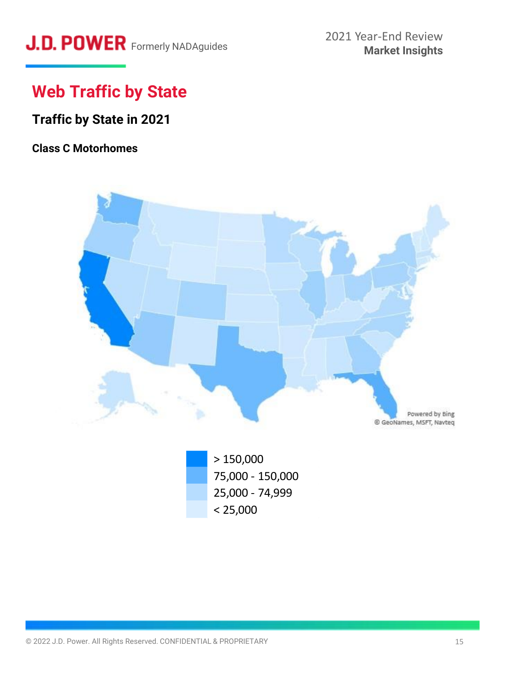# **Web Traffic by State**

## **Traffic by State in 2021**

#### **Class C Motorhomes**



75,000 - 150,000 25,000 - 74,999  $< 25,000$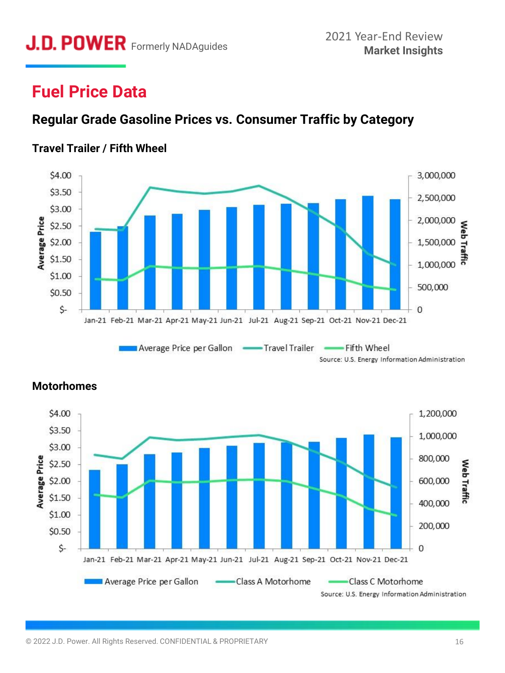# **Fuel Price Data**

### **Regular Grade Gasoline Prices vs. Consumer Traffic by Category**

#### **Travel Trailer / Fifth Wheel**







#### **Motorhomes**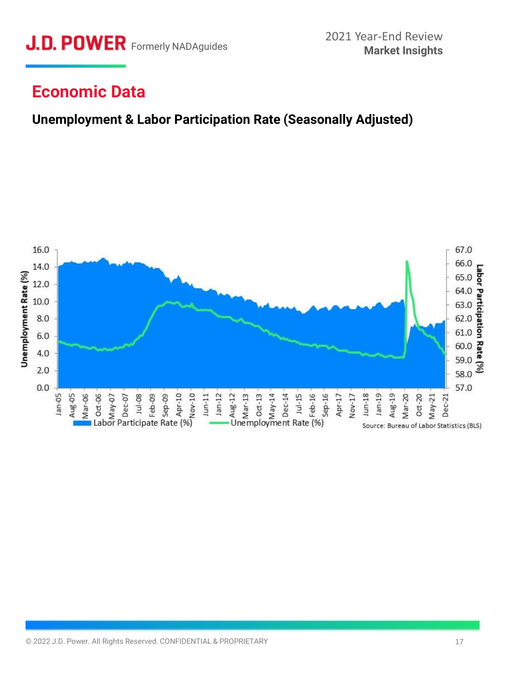

## **Economic Data**

### **Unemployment & Labor Participation Rate (Seasonally Adjusted)**